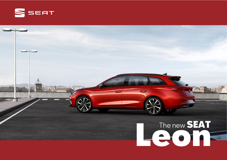

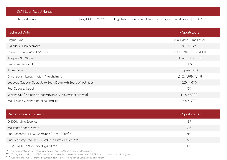| <b>SEAT Leon Model Range</b>                                      |                           |                                                                 |
|-------------------------------------------------------------------|---------------------------|-----------------------------------------------------------------|
| FR Sportstourer                                                   | $$44,900$ + On Road Costs | Eligible for Government Clean Car Programme rebate of \$2,030 * |
|                                                                   |                           |                                                                 |
| <b>Technical Data</b>                                             |                           | <b>FR Sportstourer</b>                                          |
| Engine Type                                                       |                           | Mild-Hybrid Turbo Petrol                                        |
| Cylinders / Displacement                                          |                           | 4/1,498cc                                                       |
| Power Output - kW / HP @ rpm                                      |                           | 110 / 150 @ 5,000 - 6,000                                       |
| Torque - Nm @ rpm                                                 |                           | $250 \text{ @ } 1,500 - 3,500$                                  |
| <b>Emissions Standard</b>                                         |                           | EU <sub>6</sub>                                                 |
| Transmission                                                      |                           | 7 Speed DSG                                                     |
| Dimensions - Length / Width / Height (mm)                         |                           | 4,642 / 1,799 / 1,448                                           |
| Luggage Capacity Seats Up to Seats Down with Spare Wheel (litres) |                           | $620 - 1,600$                                                   |
| <b>Fuel Capacity (litres)</b>                                     |                           | 50                                                              |
| Weight in kg (In running order with driver / Max. weight allowed) |                           | 1,410 / 2,000                                                   |
| Max Towing Weight (Unbraked / Braked)                             |                           | 700/1,700                                                       |

| Performance & Efficiency                                                                                                                                                                                                                | <b>FR Sportstourer</b> |
|-----------------------------------------------------------------------------------------------------------------------------------------------------------------------------------------------------------------------------------------|------------------------|
| 0-100 km/h in Seconds                                                                                                                                                                                                                   | 8.7                    |
| Maximum Speed in km/h                                                                                                                                                                                                                   | 217                    |
| Fuel Economy - NEDC Combined (Litres/100km) **                                                                                                                                                                                          | 4.9                    |
| Fuel Economy - WLTP-3P Combined (Litres/100km) ***                                                                                                                                                                                      | 5.6                    |
| CO2 - WLTP-3P Combined [g/km] ***                                                                                                                                                                                                       | 128                    |
| Government Clean Car Programme begins 1 April 2022 and is subject to legislation.<br>$\star$<br>$***$<br>The figures provided are NEDC equivalent calculated from official manufacturer's WLTP tests in accordance with EU legislation. |                        |

\*\*\* Converted to WLTP-3P from official manufacturer's WLTP tests using a vehicle 1,538 kg in weight.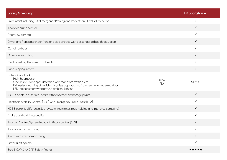| <b>Safety &amp; Security</b>                                                                                                                                                                                                                         |                   | <b>FR Sportstourer</b> |
|------------------------------------------------------------------------------------------------------------------------------------------------------------------------------------------------------------------------------------------------------|-------------------|------------------------|
| Front Assist including City Emergency Braking and Pedestrian / Cyclist Protection                                                                                                                                                                    |                   |                        |
| Adaptive cruise control                                                                                                                                                                                                                              |                   | $\checkmark$           |
| Rear view camera                                                                                                                                                                                                                                     |                   | $\checkmark$           |
| Driver and front passenger front and side airbags with passenger airbag deactivation                                                                                                                                                                 |                   | $\checkmark$           |
| Curtain airbags                                                                                                                                                                                                                                      |                   | $\checkmark$           |
| Driver's knee airbag                                                                                                                                                                                                                                 |                   | $\checkmark$           |
| Central airbag (between front seats)                                                                                                                                                                                                                 |                   | $\checkmark$           |
| Lane keeping system                                                                                                                                                                                                                                  |                   | $\checkmark$           |
| Safety Assist Pack<br>High-beam Assist<br>Side Assist - blind spot detection with rear cross traffic alert<br>Exit Assist - warning of vehicles / cyclists approaching from rear when opening door<br>LED interior smart wraparound ambient lighting | <b>PDA</b><br>PLH | \$1,600                |
| ISOFIX points in outer rear seats with top tether anchorage points                                                                                                                                                                                   |                   | $\checkmark$           |
| Electronic Stability Control (ESC) with Emergency Brake Assist (EBA)                                                                                                                                                                                 |                   | ✓                      |
| XDS Electronic differential lock system (maximises road holding and improves cornering)                                                                                                                                                              |                   | $\checkmark$           |
| Brake auto hold functionality                                                                                                                                                                                                                        |                   | $\checkmark$           |
| Traction Control System [ASR] + Anti-lock brakes [ABS]                                                                                                                                                                                               |                   | $\checkmark$           |
| Tyre pressure monitoring                                                                                                                                                                                                                             |                   | ✓                      |
| Alarm with interior monitoring                                                                                                                                                                                                                       |                   | $\checkmark$           |
| Driver alert system                                                                                                                                                                                                                                  |                   | $\checkmark$           |
| Euro NCAP & ANCAP Safety Rating                                                                                                                                                                                                                      |                   | ★★★★★                  |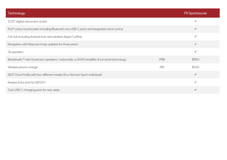| Technology                                                                                            |            | <b>FR Sportstourer</b> |
|-------------------------------------------------------------------------------------------------------|------------|------------------------|
| 10.25" digital instrument cluster                                                                     |            | $\checkmark$           |
| 10.0" colour touchscreen including Bluetooth, two USB-C ports and integrated voice control            |            | $\checkmark$           |
| Full Link including Android Auto and wireless Apple CarPlay                                           |            | $\checkmark$           |
| Navigation with Mapcare (map updates for three years)                                                 |            | $\checkmark$           |
| Six speakers                                                                                          |            | $\checkmark$           |
| BeatsAudio <sup>TM</sup> with 9 premium speakers, 1 subwoofer, a 340W amplifier & surround technology | <b>PNB</b> | \$950                  |
| Wireless phone charger                                                                                | PB1        | \$450                  |
| SEAT Drive Profile with four different modes (Eco-Normal-Sport-Individual)                            |            | $\checkmark$           |
| Keyless Entry and Go (KESSY)                                                                          |            | $\checkmark$           |
| Twin USB-C charging ports for rear seats                                                              |            | $\checkmark$           |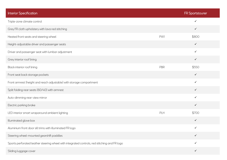| <b>Interior Specification</b>                                                                |     | <b>FR Sportstourer</b> |
|----------------------------------------------------------------------------------------------|-----|------------------------|
| Triple-zone climate control                                                                  |     | ✓                      |
| Grey FR cloth upholstery with lava red stitching                                             |     | $\checkmark$           |
| Heated front seats and steering wheel                                                        | PW1 | \$800                  |
| Height-adjustable driver and passenger seats                                                 |     | $\checkmark$           |
| Driver and passenger seat with lumbar adjustment                                             |     | $\checkmark$           |
| Grey interior roof lining                                                                    |     | $\checkmark$           |
| Black interior roof lining                                                                   | PBR | \$550                  |
| Front seat back storage pockets                                                              |     | $\checkmark$           |
| Front armrest (height and reach adjustable) with storage compartment                         |     | $\checkmark$           |
| Split folding rear seats (60/40) with armrest                                                |     | $\checkmark$           |
| Auto-dimming rear-view mirror                                                                |     | $\checkmark$           |
| Electric parking brake                                                                       |     | $\checkmark$           |
| LED interior smart wraparound ambient lighting                                               | PLH | \$700                  |
| Illuminated glove box                                                                        |     | $\checkmark$           |
| Aluminium front door sill trims with illuminated FR logo                                     |     | ✓                      |
| Steering wheel-mounted gearshift paddles                                                     |     | $\checkmark$           |
| Sports perforated leather steering wheel with integrated controls, red stitching and FR logo |     | ✓                      |
| Sliding luggage cover                                                                        |     | $\checkmark$           |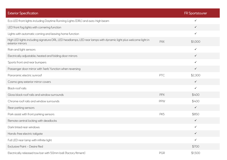| <b>Exterior Specification</b>                                                                                                       |            | <b>FR Sportstourer</b> |
|-------------------------------------------------------------------------------------------------------------------------------------|------------|------------------------|
| Eco LED front lights including Daytime Running Lights (DRL) and auto-high beam                                                      |            | ✓                      |
| LED front fog lights with cornering function                                                                                        |            | $\checkmark$           |
| Lights with automatic coming and leaving home function                                                                              |            | $\checkmark$           |
| High LED lights including signature DRL, LED headlamps, LED rear lamps with dynamic light plus welcome light in<br>exterior mirrors | <b>PXX</b> | \$1,000                |
| Rain and light sensors                                                                                                              |            | $\checkmark$           |
| Electrically adjustable, heated and folding door mirrors                                                                            |            | $\checkmark$           |
| Sports front and rear bumpers                                                                                                       |            | $\checkmark$           |
| Passenger door mirror with 'kerb' function when reversing                                                                           |            | $\checkmark$           |
| Panoramic electric sunroof                                                                                                          | PTC        | \$2,300                |
| Cosmo grey exterior mirror covers                                                                                                   |            | $\checkmark$           |
| Black roof rails                                                                                                                    |            | $\checkmark$           |
| Gloss black roof rails and window surrounds                                                                                         | <b>PPX</b> | \$400                  |
| Chrome roof rails and window surrounds                                                                                              | <b>PPW</b> | \$400                  |
| Rear parking sensors                                                                                                                |            | $\checkmark$           |
| Park assist with front parking sensors                                                                                              | PK5        | \$850                  |
| Remote central locking with deadlocks                                                                                               |            | $\checkmark$           |
| Dark tinted rear windows                                                                                                            |            | ✓                      |
| Hands-free electric tailgate                                                                                                        |            | $\checkmark$           |
| Full LED rear lamp with infinite light                                                                                              |            | $\checkmark$           |
| Exclusive Paint - Desire Red                                                                                                        |            | \$700                  |
| Electrically released tow bar with 50mm ball (factory fitment)                                                                      | PGR        | \$1,500                |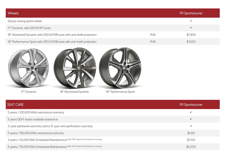| <b>Wheels</b>                                                          |            | <b>FR Sportstourer</b> |
|------------------------------------------------------------------------|------------|------------------------|
| Space-saving spare wheel                                               |            |                        |
| 17" Dynamic with 225/45 R17 tyres                                      |            |                        |
| 18" Machined Dynamic with 225/40 R18 tyres with anti-theft protection  | <b>PUK</b> | \$1,300                |
| 18" Performance Sport with 225/40 R18 tyres with anti-theft protection | <b>PUN</b> | \$1,500                |







17" Dynamic 18" Machined Dynamic 18" Performance Sport

| <b>SEAT CARE</b>                                                                         | <b>FR Sportstourer</b> |
|------------------------------------------------------------------------------------------|------------------------|
| 5 years / 100,000 KMs mechanical warranty                                                | $\checkmark$           |
| 5 years SEAT Assist roadside assistance                                                  | $\checkmark$           |
| 3-year paintwork warranty and a 12-year anti-perforation warranty                        | $\checkmark$           |
| 5 years / 150,000 KMs mechanical warranty                                                | \$400                  |
| 3 years / 45,000 KMs Scheduled Maintenance Refer SEAT Agent for full details of coverage | \$1,150                |
| 5 years / 75,000 KMs Scheduled Maintenance Refer SEAT Agent for full details of coverage | \$2,200                |